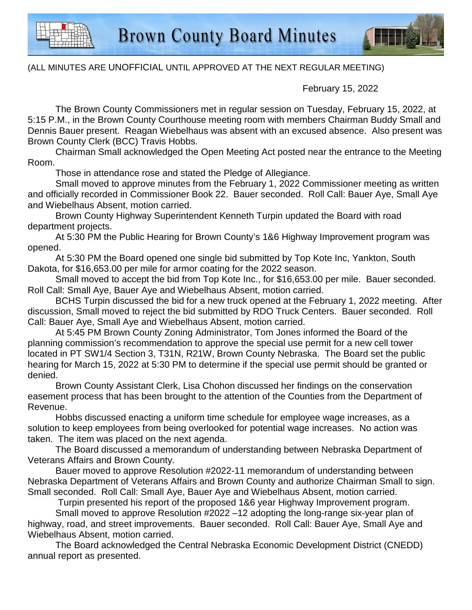

## (ALL MINUTES ARE UNOFFICIAL UNTIL APPROVED AT THE NEXT REGULAR MEETING)

February 15, 2022

The Brown County Commissioners met in regular session on Tuesday, February 15, 2022, at 5:15 P.M., in the Brown County Courthouse meeting room with members Chairman Buddy Small and Dennis Bauer present. Reagan Wiebelhaus was absent with an excused absence. Also present was Brown County Clerk (BCC) Travis Hobbs.

Chairman Small acknowledged the Open Meeting Act posted near the entrance to the Meeting Room.

Those in attendance rose and stated the Pledge of Allegiance.

Small moved to approve minutes from the February 1, 2022 Commissioner meeting as written and officially recorded in Commissioner Book 22. Bauer seconded. Roll Call: Bauer Aye, Small Aye and Wiebelhaus Absent, motion carried.

Brown County Highway Superintendent Kenneth Turpin updated the Board with road department projects.

At 5:30 PM the Public Hearing for Brown County's 1&6 Highway Improvement program was opened.

At 5:30 PM the Board opened one single bid submitted by Top Kote Inc, Yankton, South Dakota, for \$16,653.00 per mile for armor coating for the 2022 season.

Small moved to accept the bid from Top Kote Inc., for \$16,653.00 per mile. Bauer seconded. Roll Call: Small Aye, Bauer Aye and Wiebelhaus Absent, motion carried.

BCHS Turpin discussed the bid for a new truck opened at the February 1, 2022 meeting. After discussion, Small moved to reject the bid submitted by RDO Truck Centers. Bauer seconded. Roll Call: Bauer Aye, Small Aye and Wiebelhaus Absent, motion carried.

At 5:45 PM Brown County Zoning Administrator, Tom Jones informed the Board of the planning commission's recommendation to approve the special use permit for a new cell tower located in PT SW1/4 Section 3, T31N, R21W, Brown County Nebraska. The Board set the public hearing for March 15, 2022 at 5:30 PM to determine if the special use permit should be granted or denied.

Brown County Assistant Clerk, Lisa Chohon discussed her findings on the conservation easement process that has been brought to the attention of the Counties from the Department of Revenue.

Hobbs discussed enacting a uniform time schedule for employee wage increases, as a solution to keep employees from being overlooked for potential wage increases. No action was taken. The item was placed on the next agenda.

The Board discussed a memorandum of understanding between Nebraska Department of Veterans Affairs and Brown County.

Bauer moved to approve Resolution #2022-11 memorandum of understanding between Nebraska Department of Veterans Affairs and Brown County and authorize Chairman Small to sign. Small seconded. Roll Call: Small Aye, Bauer Aye and Wiebelhaus Absent, motion carried.

Turpin presented his report of the proposed 1&6 year Highway Improvement program.

 Small moved to approve Resolution #2022 –12 adopting the long-range six-year plan of highway, road, and street improvements. Bauer seconded. Roll Call: Bauer Aye, Small Aye and Wiebelhaus Absent, motion carried.

The Board acknowledged the Central Nebraska Economic Development District (CNEDD) annual report as presented.